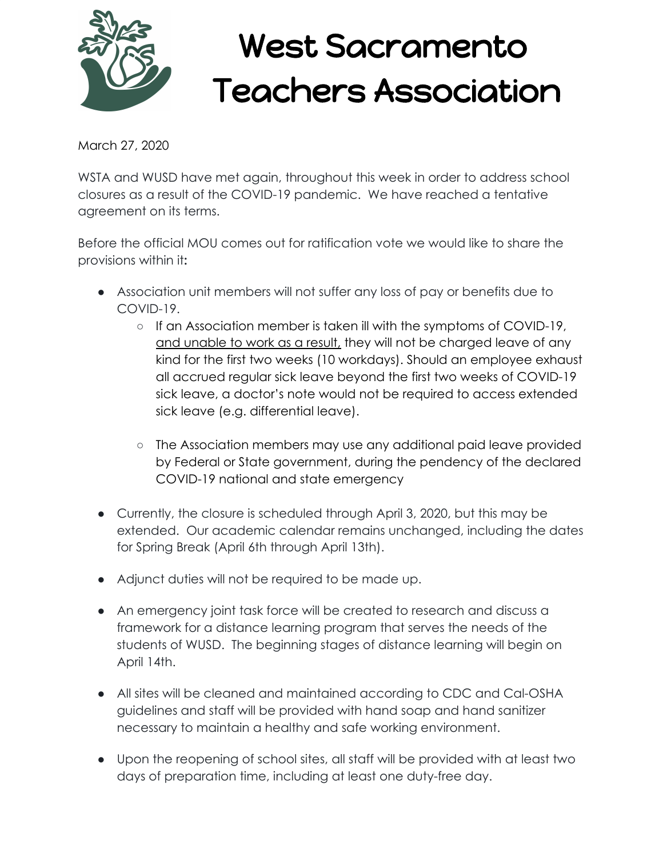

## West Sacramento Teachers Association

March 27, 2020

WSTA and WUSD have met again, throughout this week in order to address school closures as a result of the COVID-19 pandemic. We have reached a tentative agreement on its terms.

Before the official MOU comes out for ratification vote we would like to share the provisions within it**:**

- Association unit members will not suffer any loss of pay or benefits due to COVID-19.
	- If an Association member is taken ill with the symptoms of COVID-19, and unable to work as a result, they will not be charged leave of any kind for the first two weeks (10 workdays). Should an employee exhaust all accrued regular sick leave beyond the first two weeks of COVID-19 sick leave, a doctor's note would not be required to access extended sick leave (e.g. differential leave).
	- The Association members may use any additional paid leave provided by Federal or State government, during the pendency of the declared COVID-19 national and state emergency
- Currently, the closure is scheduled through April 3, 2020, but this may be extended. Our academic calendar remains unchanged, including the dates for Spring Break (April 6th through April 13th).
- Adjunct duties will not be required to be made up.
- An emergency joint task force will be created to research and discuss a framework for a distance learning program that serves the needs of the students of WUSD. The beginning stages of distance learning will begin on April 14th.
- All sites will be cleaned and maintained according to CDC and Cal-OSHA guidelines and staff will be provided with hand soap and hand sanitizer necessary to maintain a healthy and safe working environment.
- Upon the reopening of school sites, all staff will be provided with at least two days of preparation time, including at least one duty-free day.